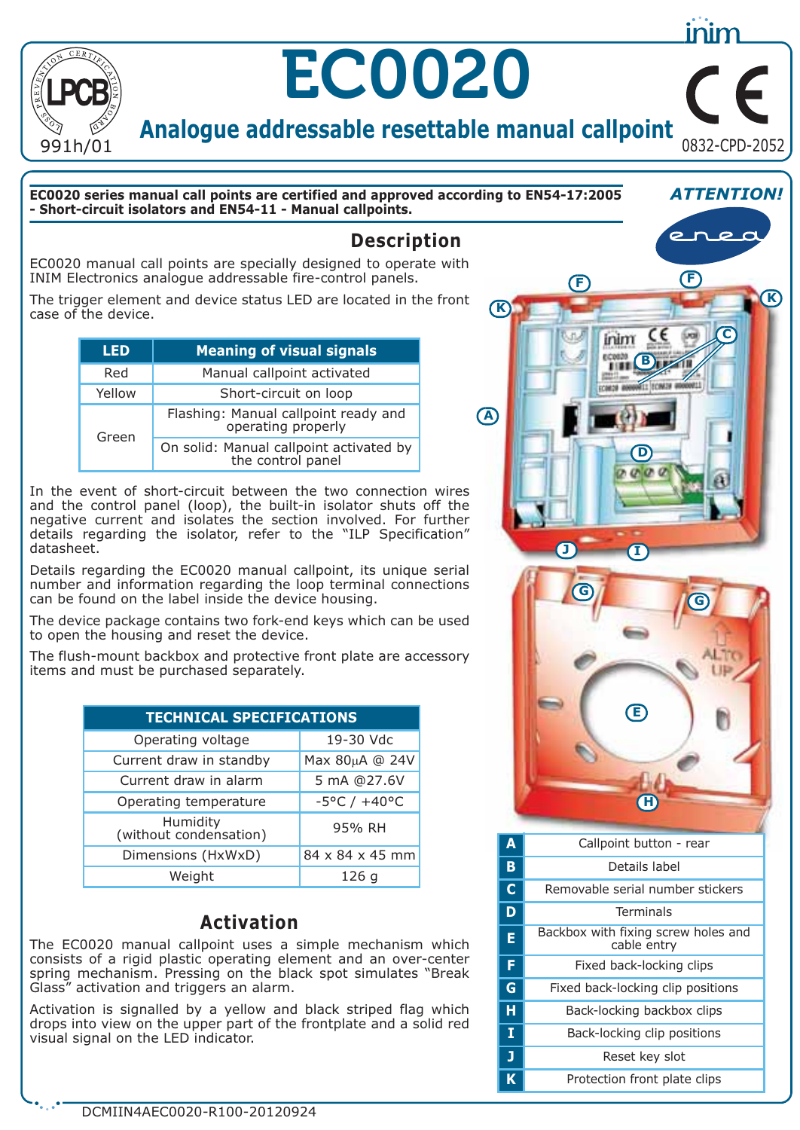

# EC0020

**[Analogue add](https://www.ultramaster.ro/incendiu.html)ressable resettable manual callpoint** 991h/01 0832-CPD-2052

#### **EC0020 series manual call points are certified and approved according to EN54-17:2005** *ATTENTION!* **- Short-circuit isolators and EN54-11 - Manual callpoints.**

## **Description**

EC0020 manual call points are specially designed to operate with INIM Electronics analogue addressable fire-control panels.

The trigger element and device status LED are located in the front case of the device.

| LED    | <b>Meaning of visual signals</b>                             |  |
|--------|--------------------------------------------------------------|--|
| Red    | Manual callpoint activated                                   |  |
| Yellow | Short-circuit on loop                                        |  |
| Green  | Flashing: Manual callpoint ready and<br>operating properly   |  |
|        | On solid: Manual callpoint activated by<br>the control panel |  |

In the event of short-circuit between the two connection wires and the control panel (loop), the built-in isolator shuts off the negative current and isolates the section involved. For further details regarding the isolator, refer to the "ILP Specification" datasheet.

Details regarding the EC0020 manual callpoint, its unique serial number and information regarding the loop terminal connections can be found on the label inside the device housing.

The device package contains two fork-end keys which can be used to open the housing and reset the device.

The flush-mount backbox and protective front plate are accessory items and must be purchased separately.

| <b>TECHNICAL SPECIFICATIONS</b>    |                                  |  |
|------------------------------------|----------------------------------|--|
| Operating voltage                  | 19-30 Vdc                        |  |
| Current draw in standby            | Max 80µA @ 24V                   |  |
| Current draw in alarm              | 5 mA @27.6V                      |  |
| Operating temperature              | $-5^{\circ}$ C / $+40^{\circ}$ C |  |
| Humidity<br>(without condensation) | 95% RH                           |  |
| Dimensions (HxWxD)                 | 84 x 84 x 45 mm                  |  |
| Weight                             | 126 g                            |  |

### **Activation**

The EC0020 manual callpoint uses a simple mechanism which consists of a rigid plastic operating element and an over-center spring mechanism. Pressing on the black spot simulates "Break Glass" activation and triggers an alarm.

Activation is signalled by a yellow and black striped flag which drops into view on the upper part of the frontplate and a solid red visual signal on the LED indicator.



**J** Reset key slot **K** Protection front plate clips